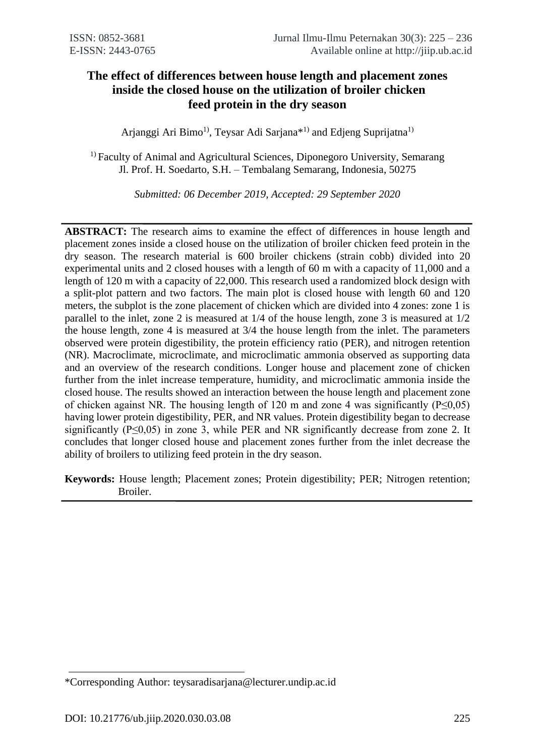# **The effect of differences between house length and placement zones inside the closed house on the utilization of broiler chicken feed protein in the dry season**

Arjanggi Ari Bimo<sup>1)</sup>, Teysar Adi Sarjana<sup>\*1)</sup> and Edjeng Suprijatna<sup>1)</sup>

<sup>1)</sup> Faculty of Animal and Agricultural Sciences, Diponegoro University, Semarang Jl. Prof. H. Soedarto, S.H. – Tembalang Semarang, Indonesia, 50275

*Submitted: 06 December 2019, Accepted: 29 September 2020*

**ABSTRACT:** The research aims to examine the effect of differences in house length and placement zones inside a closed house on the utilization of broiler chicken feed protein in the dry season. The research material is 600 broiler chickens (strain cobb) divided into 20 experimental units and 2 closed houses with a length of 60 m with a capacity of 11,000 and a length of 120 m with a capacity of 22,000. This research used a randomized block design with a split-plot pattern and two factors. The main plot is closed house with length 60 and 120 meters, the subplot is the zone placement of chicken which are divided into 4 zones: zone 1 is parallel to the inlet, zone 2 is measured at 1/4 of the house length, zone 3 is measured at 1/2 the house length, zone 4 is measured at 3/4 the house length from the inlet. The parameters observed were protein digestibility, the protein efficiency ratio (PER), and nitrogen retention (NR). Macroclimate, microclimate, and microclimatic ammonia observed as supporting data and an overview of the research conditions. Longer house and placement zone of chicken further from the inlet increase temperature, humidity, and microclimatic ammonia inside the closed house. The results showed an interaction between the house length and placement zone of chicken against NR. The housing length of 120 m and zone 4 was significantly ( $P \le 0.05$ ) having lower protein digestibility, PER, and NR values. Protein digestibility began to decrease significantly ( $P \le 0.05$ ) in zone 3, while PER and NR significantly decrease from zone 2. It concludes that longer closed house and placement zones further from the inlet decrease the ability of broilers to utilizing feed protein in the dry season.

**Keywords:** House length; Placement zones; Protein digestibility; PER; Nitrogen retention; Broiler.

<sup>\*</sup>Corresponding Author: teysaradisarjana@lecturer.undip.ac.id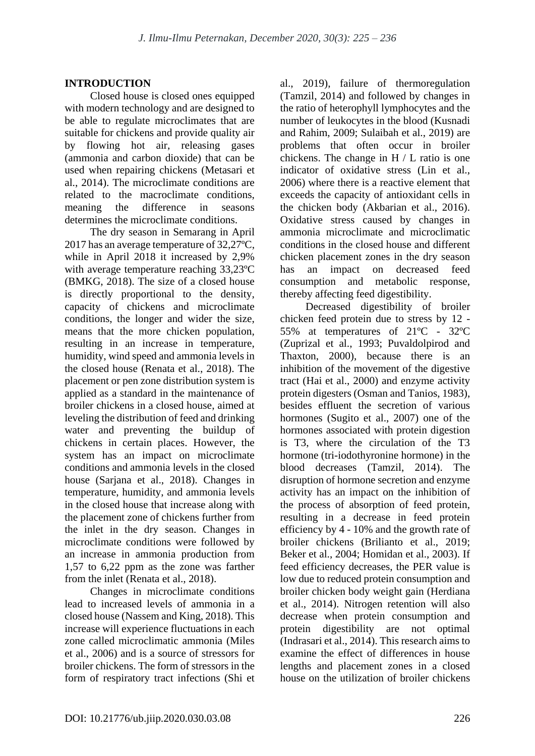### **INTRODUCTION**

Closed house is closed ones equipped with modern technology and are designed to be able to regulate microclimates that are suitable for chickens and provide quality air by flowing hot air, releasing gases (ammonia and carbon dioxide) that can be used when repairing chickens (Metasari et al., 2014). The microclimate conditions are related to the macroclimate conditions, meaning the difference in seasons determines the microclimate conditions.

The dry season in Semarang in April 2017 has an average temperature of 32,27ºC, while in April 2018 it increased by 2,9% with average temperature reaching 33,23ºC (BMKG, 2018). The size of a closed house is directly proportional to the density, capacity of chickens and microclimate conditions, the longer and wider the size, means that the more chicken population, resulting in an increase in temperature, humidity, wind speed and ammonia levels in the closed house (Renata et al., 2018). The placement or pen zone distribution system is applied as a standard in the maintenance of broiler chickens in a closed house, aimed at leveling the distribution of feed and drinking water and preventing the buildup of chickens in certain places. However, the system has an impact on microclimate conditions and ammonia levels in the closed house (Sarjana et al., 2018). Changes in temperature, humidity, and ammonia levels in the closed house that increase along with the placement zone of chickens further from the inlet in the dry season. Changes in microclimate conditions were followed by an increase in ammonia production from 1,57 to 6,22 ppm as the zone was farther from the inlet (Renata et al., 2018).

Changes in microclimate conditions lead to increased levels of ammonia in a closed house (Nassem and King, 2018). This increase will experience fluctuations in each zone called microclimatic ammonia (Miles et al., 2006) and is a source of stressors for broiler chickens. The form of stressors in the form of respiratory tract infections (Shi et al., 2019), failure of thermoregulation (Tamzil, 2014) and followed by changes in the ratio of heterophyll lymphocytes and the number of leukocytes in the blood (Kusnadi and Rahim, 2009; Sulaibah et al., 2019) are problems that often occur in broiler chickens. The change in H / L ratio is one indicator of oxidative stress (Lin et al., 2006) where there is a reactive element that exceeds the capacity of antioxidant cells in the chicken body (Akbarian et al., 2016). Oxidative stress caused by changes in ammonia microclimate and microclimatic conditions in the closed house and different chicken placement zones in the dry season has an impact on decreased feed consumption and metabolic response, thereby affecting feed digestibility.

Decreased digestibility of broiler chicken feed protein due to stress by 12 - 55% at temperatures of 21ºC - 32ºC (Zuprizal et al., 1993; Puvaldolpirod and Thaxton, 2000), because there is an inhibition of the movement of the digestive tract (Hai et al., 2000) and enzyme activity protein digesters (Osman and Tanios, 1983), besides effluent the secretion of various hormones (Sugito et al., 2007) one of the hormones associated with protein digestion is T3, where the circulation of the T3 hormone (tri-iodothyronine hormone) in the blood decreases (Tamzil, 2014). The disruption of hormone secretion and enzyme activity has an impact on the inhibition of the process of absorption of feed protein, resulting in a decrease in feed protein efficiency by 4 - 10% and the growth rate of broiler chickens (Brilianto et al., 2019; Beker et al., 2004; Homidan et al., 2003). If feed efficiency decreases, the PER value is low due to reduced protein consumption and broiler chicken body weight gain (Herdiana et al., 2014). Nitrogen retention will also decrease when protein consumption and protein digestibility are not optimal (Indrasari et al., 2014). This research aims to examine the effect of differences in house lengths and placement zones in a closed house on the utilization of broiler chickens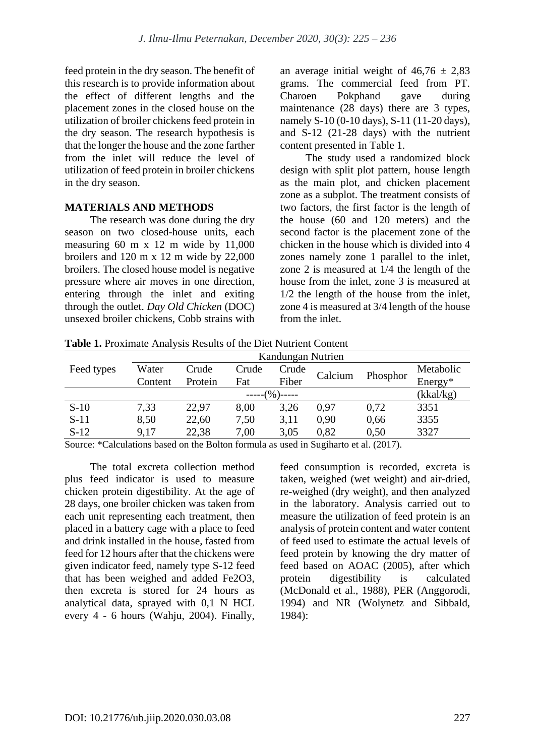feed protein in the dry season. The benefit of this research is to provide information about the effect of different lengths and the placement zones in the closed house on the utilization of broiler chickens feed protein in the dry season. The research hypothesis is that the longer the house and the zone farther from the inlet will reduce the level of utilization of feed protein in broiler chickens in the dry season.

#### **MATERIALS AND METHODS**

The research was done during the dry season on two closed-house units, each measuring 60 m x 12 m wide by 11,000 broilers and 120 m x 12 m wide by 22,000 broilers. The closed house model is negative pressure where air moves in one direction, entering through the inlet and exiting through the outlet. *Day Old Chicken* (DOC) unsexed broiler chickens, Cobb strains with an average initial weight of  $46,76 \pm 2,83$ grams. The commercial feed from PT. Charoen Pokphand gave during maintenance (28 days) there are 3 types, namely S-10 (0-10 days), S-11 (11-20 days), and S-12 (21-28 days) with the nutrient content presented in Table 1.

The study used a randomized block design with split plot pattern, house length as the main plot, and chicken placement zone as a subplot. The treatment consists of two factors, the first factor is the length of the house (60 and 120 meters) and the second factor is the placement zone of the chicken in the house which is divided into 4 zones namely zone 1 parallel to the inlet, zone 2 is measured at 1/4 the length of the house from the inlet, zone 3 is measured at 1/2 the length of the house from the inlet, zone 4 is measured at 3/4 length of the house from the inlet.

**Table 1.** Proximate Analysis Results of the Diet Nutrient Content

|            | Kandungan Nutrien |         |       |       |         |           |           |
|------------|-------------------|---------|-------|-------|---------|-----------|-----------|
| Feed types | Water             | Crude   | Crude | Crude | Calcium |           | Metabolic |
|            | Content           | Protein | Fat   | Fiber |         | Phosphor  | Energy*   |
| $---(%$    |                   |         |       |       |         | (kkal/kg) |           |
| $S-10$     | 7,33              | 22,97   | 8,00  | 3,26  | 0.97    | 0,72      | 3351      |
| $S-11$     | 8,50              | 22,60   | 7,50  | 3,11  | 0.90    | 0,66      | 3355      |
| $S-12$     | 9.17              | 22,38   | 7,00  | 3,05  | 0,82    | 0.50      | 3327      |

Source: \*Calculations based on the Bolton formula as used in Sugiharto et al. (2017).

The total excreta collection method plus feed indicator is used to measure chicken protein digestibility. At the age of 28 days, one broiler chicken was taken from each unit representing each treatment, then placed in a battery cage with a place to feed and drink installed in the house, fasted from feed for 12 hours after that the chickens were given indicator feed, namely type S-12 feed that has been weighed and added Fe2O3, then excreta is stored for 24 hours as analytical data, sprayed with 0,1 N HCL every 4 - 6 hours (Wahju, 2004). Finally, feed consumption is recorded, excreta is taken, weighed (wet weight) and air-dried, re-weighed (dry weight), and then analyzed in the laboratory. Analysis carried out to measure the utilization of feed protein is an analysis of protein content and water content of feed used to estimate the actual levels of feed protein by knowing the dry matter of feed based on AOAC (2005), after which protein digestibility is calculated (McDonald et al., 1988), PER (Anggorodi, 1994) and NR (Wolynetz and Sibbald, 1984):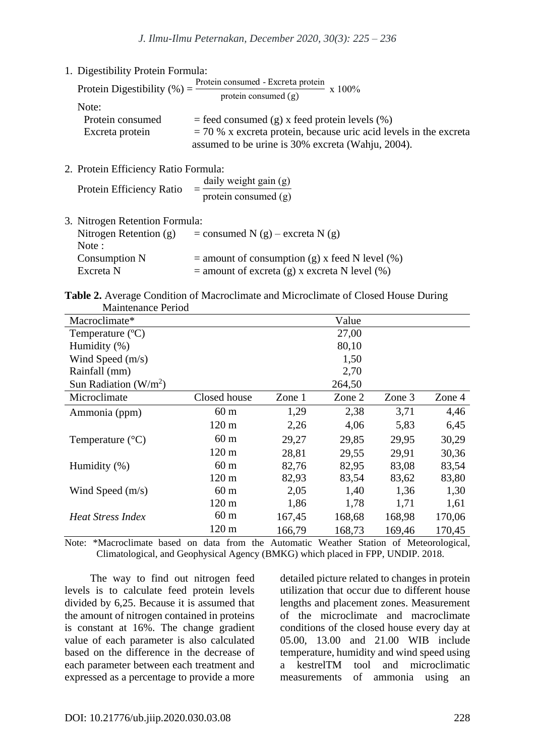| 1. Digestibility Protein Formula:    |                                                                                                                          |
|--------------------------------------|--------------------------------------------------------------------------------------------------------------------------|
|                                      | Protein Digestibility (%) = $\frac{\text{Protein consumed - Exercise 1}}{\text{protein consumed (g)}}$<br>$- x 100\%$    |
| Note:                                |                                                                                                                          |
| Protein consumed                     | $=$ feed consumed (g) x feed protein levels (%)                                                                          |
| Excreta protein                      | $=$ 70 % x excreta protein, because uric acid levels in the excreta<br>assumed to be urine is 30% excreta (Wahju, 2004). |
| 2. Protein Efficiency Ratio Formula: |                                                                                                                          |
| Protein Efficiency Ratio             | daily weight gain (g)<br>protein consumed $(g)$                                                                          |

| 3. Nitrogen Retention Formula: |                                                  |
|--------------------------------|--------------------------------------------------|
| Nitrogen Retention $(g)$       | $=$ consumed N (g) – excreta N (g)               |
| Note :                         |                                                  |
| Consumption N                  | $=$ amount of consumption (g) x feed N level (%) |
| Excreta N                      | $=$ amount of excreta (g) x excreta N level (%)  |
|                                |                                                  |

|                    | Table 2. Average Condition of Macroclimate and Microclimate of Closed House During |  |
|--------------------|------------------------------------------------------------------------------------|--|
| Maintenance Period |                                                                                    |  |

| маниенанее т епоч         |                 |        |        |        |        |
|---------------------------|-----------------|--------|--------|--------|--------|
| Macroclimate*             |                 |        | Value  |        |        |
| Temperature $(^{\circ}C)$ |                 |        | 27,00  |        |        |
| Humidity (%)              |                 |        | 80,10  |        |        |
| Wind Speed $(m/s)$        |                 | 1,50   |        |        |        |
| Rainfall (mm)             |                 |        | 2,70   |        |        |
| Sun Radiation $(W/m^2)$   |                 |        | 264,50 |        |        |
| Microclimate              | Closed house    | Zone 1 | Zone 2 | Zone 3 | Zone 4 |
| Ammonia (ppm)             | 60 <sub>m</sub> | 1,29   | 2,38   | 3,71   | 4,46   |
|                           | $120 \text{ m}$ | 2,26   | 4,06   | 5,83   | 6,45   |
| Temperature $(^{\circ}C)$ | 60 <sub>m</sub> | 29,27  | 29,85  | 29,95  | 30,29  |
|                           | $120 \text{ m}$ | 28,81  | 29,55  | 29,91  | 30,36  |
| Humidity $(\%)$           | 60 <sub>m</sub> | 82,76  | 82,95  | 83,08  | 83,54  |
|                           | $120 \text{ m}$ | 82,93  | 83,54  | 83,62  | 83,80  |
| Wind Speed $(m/s)$        | 60 <sub>m</sub> | 2,05   | 1,40   | 1,36   | 1,30   |
|                           | $120 \text{ m}$ | 1,86   | 1,78   | 1,71   | 1,61   |
| <b>Heat Stress Index</b>  | 60 <sub>m</sub> | 167,45 | 168,68 | 168,98 | 170,06 |
|                           | 120 m           | 166,79 | 168,73 | 169,46 | 170,45 |

Note: \*Macroclimate based on data from the Automatic Weather Station of Meteorological, Climatological, and Geophysical Agency (BMKG) which placed in FPP, UNDIP. 2018.

The way to find out nitrogen feed levels is to calculate feed protein levels divided by 6,25. Because it is assumed that the amount of nitrogen contained in proteins is constant at 16%. The change gradient value of each parameter is also calculated based on the difference in the decrease of each parameter between each treatment and expressed as a percentage to provide a more detailed picture related to changes in protein utilization that occur due to different house lengths and placement zones. Measurement of the microclimate and macroclimate conditions of the closed house every day at 05.00, 13.00 and 21.00 WIB include temperature, humidity and wind speed using a kestrelTM tool and microclimatic measurements of ammonia using an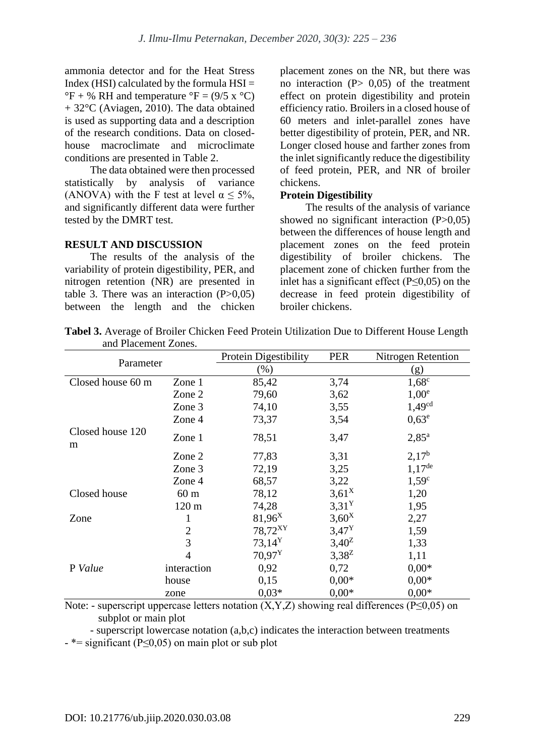ammonia detector and for the Heat Stress Index (HSI) calculated by the formula  $HSI =$  ${}^{\circ}F$  + % RH and temperature  ${}^{\circ}F = (9/5 \times {}^{\circ}C)$ + 32°C (Aviagen, 2010). The data obtained is used as supporting data and a description of the research conditions. Data on closedhouse macroclimate and microclimate conditions are presented in Table 2.

The data obtained were then processed statistically by analysis of variance (ANOVA) with the F test at level  $\alpha$  < 5%, and significantly different data were further tested by the DMRT test.

## **RESULT AND DISCUSSION**

The results of the analysis of the variability of protein digestibility, PER, and nitrogen retention (NR) are presented in table 3. There was an interaction  $(P>0.05)$ between the length and the chicken placement zones on the NR, but there was no interaction  $(P> 0.05)$  of the treatment effect on protein digestibility and protein efficiency ratio. Broilers in a closed house of 60 meters and inlet-parallel zones have better digestibility of protein, PER, and NR. Longer closed house and farther zones from the inlet significantly reduce the digestibility of feed protein, PER, and NR of broiler chickens.

#### **Protein Digestibility**

The results of the analysis of variance showed no significant interaction  $(P>0,05)$ between the differences of house length and placement zones on the feed protein digestibility of broiler chickens. The placement zone of chicken further from the inlet has a significant effect (P≤0,05) on the decrease in feed protein digestibility of broiler chickens.

| Parameter             |                 | Protein Digestibility<br><b>PER</b> |                   | <b>Nitrogen Retention</b> |  |
|-----------------------|-----------------|-------------------------------------|-------------------|---------------------------|--|
|                       |                 | $(\%)$                              |                   | (g)                       |  |
| Closed house 60 m     | Zone 1          | 85,42                               | 3,74              | $1,68^\circ$              |  |
|                       | Zone 2          | 79,60                               | 3,62              | 1.00 <sup>e</sup>         |  |
|                       | Zone 3          | 74,10                               | 3,55              | 1,49 <sup>cd</sup>        |  |
|                       | Zone 4          | 73,37                               | 3,54              | $0,63^e$                  |  |
| Closed house 120<br>m | Zone 1          | 78,51                               | 3,47              | $2,85^{\rm a}$            |  |
|                       | Zone 2          | 77,83                               | 3,31              | $2,17^{\rm b}$            |  |
|                       | Zone 3          | 72,19                               | 3,25              | $1.17$ <sup>de</sup>      |  |
|                       | Zone 4          | 68,57                               | 3,22              | $1,59^\circ$              |  |
| Closed house          | 60 <sub>m</sub> | 78,12                               | $3,61^{\rm X}$    | 1,20                      |  |
|                       | $120 \text{ m}$ | 74,28                               | 3,31 <sup>Y</sup> | 1,95                      |  |
| Zone                  | 1               | $81,96^X$                           | $3,60^X$          | 2,27                      |  |
|                       | $\overline{2}$  | 78,72 <sup>XY</sup>                 | $3,47^{\rm Y}$    | 1,59                      |  |
|                       | 3               | $73,14^Y$                           | $3,40^{\rm Z}$    | 1,33                      |  |
|                       | $\overline{4}$  | $70.97^Y$                           | $3,38^{Z}$        | 1,11                      |  |
| P Value               | interaction     | 0,92                                | 0,72              | $0,00*$                   |  |
|                       | house           | 0,15                                | $0.00*$           | $0,00*$                   |  |
|                       | zone            | $0.03*$                             | $0.00*$           | $0.00*$                   |  |

**Tabel 3.** Average of Broiler Chicken Feed Protein Utilization Due to Different House Length and Placement Zones.

Note: - superscript uppercase letters notation  $(X, Y, Z)$  showing real differences (P≤0,05) on subplot or main plot

- superscript lowercase notation (a,b,c) indicates the interaction between treatments  $-$  \*= significant (P $\leq$ 0,05) on main plot or sub plot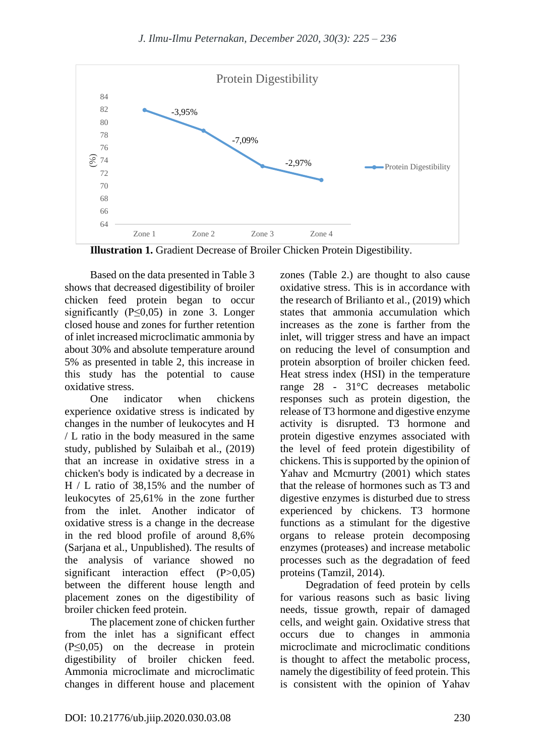

**Illustration 1.** Gradient Decrease of Broiler Chicken Protein Digestibility.

Based on the data presented in Table 3 shows that decreased digestibility of broiler chicken feed protein began to occur significantly (P≤0,05) in zone 3. Longer closed house and zones for further retention of inlet increased microclimatic ammonia by about 30% and absolute temperature around 5% as presented in table 2, this increase in this study has the potential to cause oxidative stress.

One indicator when chickens experience oxidative stress is indicated by changes in the number of leukocytes and H / L ratio in the body measured in the same study, published by Sulaibah et al., (2019) that an increase in oxidative stress in a chicken's body is indicated by a decrease in H / L ratio of 38,15% and the number of leukocytes of 25,61% in the zone further from the inlet. Another indicator of oxidative stress is a change in the decrease in the red blood profile of around 8,6% (Sarjana et al., Unpublished). The results of the analysis of variance showed no significant interaction effect (P>0,05) between the different house length and placement zones on the digestibility of broiler chicken feed protein.

The placement zone of chicken further from the inlet has a significant effect (P≤0,05) on the decrease in protein digestibility of broiler chicken feed. Ammonia microclimate and microclimatic changes in different house and placement

zones (Table 2.) are thought to also cause oxidative stress. This is in accordance with the research of Brilianto et al., (2019) which states that ammonia accumulation which increases as the zone is farther from the inlet, will trigger stress and have an impact on reducing the level of consumption and protein absorption of broiler chicken feed. Heat stress index (HSI) in the temperature range 28 - 31°C decreases metabolic responses such as protein digestion, the release of T3 hormone and digestive enzyme activity is disrupted. T3 hormone and protein digestive enzymes associated with the level of feed protein digestibility of chickens. This is supported by the opinion of Yahav and Mcmurtry (2001) which states that the release of hormones such as T3 and digestive enzymes is disturbed due to stress experienced by chickens. T3 hormone functions as a stimulant for the digestive organs to release protein decomposing enzymes (proteases) and increase metabolic processes such as the degradation of feed proteins (Tamzil, 2014).

Degradation of feed protein by cells for various reasons such as basic living needs, tissue growth, repair of damaged cells, and weight gain. Oxidative stress that occurs due to changes in ammonia microclimate and microclimatic conditions is thought to affect the metabolic process, namely the digestibility of feed protein. This is consistent with the opinion of Yahav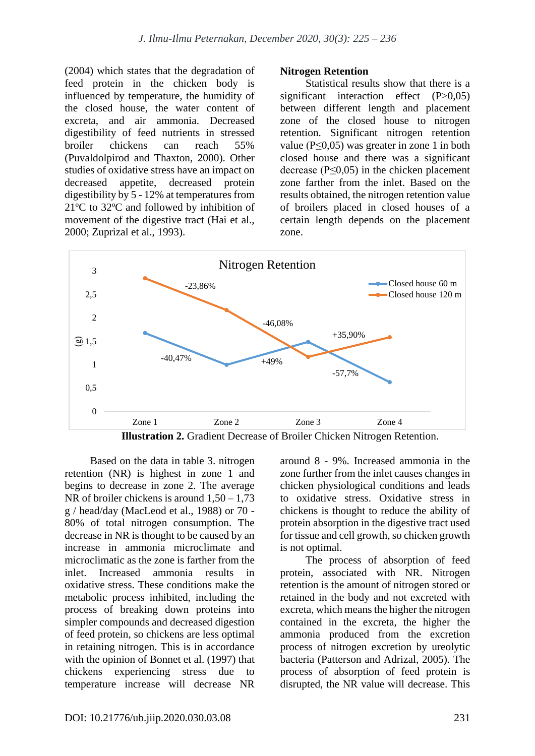(2004) which states that the degradation of feed protein in the chicken body is influenced by temperature, the humidity of the closed house, the water content of excreta, and air ammonia. Decreased digestibility of feed nutrients in stressed broiler chickens can reach 55% (Puvaldolpirod and Thaxton, 2000). Other studies of oxidative stress have an impact on decreased appetite, decreased protein digestibility by 5 - 12% at temperatures from 21ºC to 32ºC and followed by inhibition of movement of the digestive tract (Hai et al., 2000; Zuprizal et al., 1993).

#### **Nitrogen Retention**

Statistical results show that there is a significant interaction effect (P>0,05) between different length and placement zone of the closed house to nitrogen retention. Significant nitrogen retention value (P≤0,05) was greater in zone 1 in both closed house and there was a significant decrease ( $P \leq 0.05$ ) in the chicken placement zone farther from the inlet. Based on the results obtained, the nitrogen retention value of broilers placed in closed houses of a certain length depends on the placement zone.



Based on the data in table 3. nitrogen retention (NR) is highest in zone 1 and begins to decrease in zone 2. The average NR of broiler chickens is around  $1.50 - 1.73$ g / head/day (MacLeod et al., 1988) or 70 - 80% of total nitrogen consumption. The decrease in NR is thought to be caused by an increase in ammonia microclimate and microclimatic as the zone is farther from the inlet. Increased ammonia results in oxidative stress. These conditions make the metabolic process inhibited, including the process of breaking down proteins into simpler compounds and decreased digestion of feed protein, so chickens are less optimal in retaining nitrogen. This is in accordance with the opinion of Bonnet et al. (1997) that chickens experiencing stress due to temperature increase will decrease NR around 8 - 9%. Increased ammonia in the zone further from the inlet causes changes in chicken physiological conditions and leads to oxidative stress. Oxidative stress in chickens is thought to reduce the ability of protein absorption in the digestive tract used for tissue and cell growth, so chicken growth is not optimal.

The process of absorption of feed protein, associated with NR. Nitrogen retention is the amount of nitrogen stored or retained in the body and not excreted with excreta, which means the higher the nitrogen contained in the excreta, the higher the ammonia produced from the excretion process of nitrogen excretion by ureolytic bacteria (Patterson and Adrizal, 2005). The process of absorption of feed protein is disrupted, the NR value will decrease. This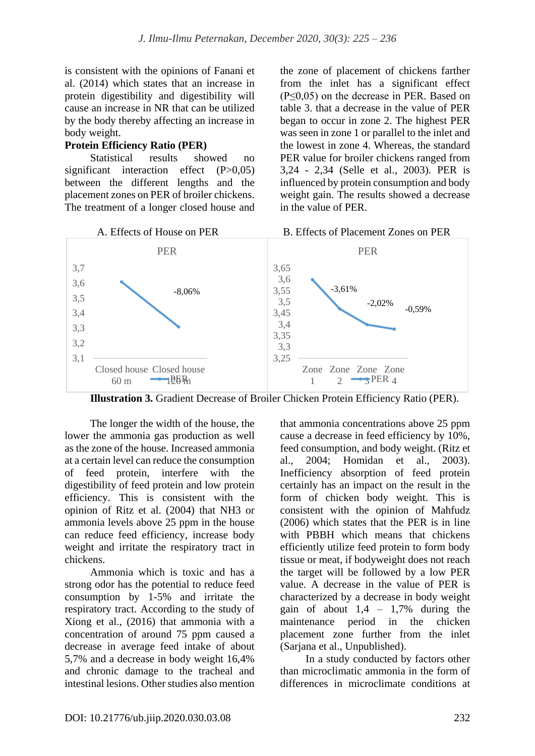is consistent with the opinions of Fanani et al. (2014) which states that an increase in protein digestibility and digestibility will cause an increase in NR that can be utilized by the body thereby affecting an increase in body weight.

### **Protein Efficiency Ratio (PER)**

Statistical results showed no significant interaction effect (P>0.05) between the different lengths and the placement zones on PER of broiler chickens. The treatment of a longer closed house and the zone of placement of chickens farther from the inlet has a significant effect (P≤0,05) on the decrease in PER. Based on table 3. that a decrease in the value of PER began to occur in zone 2. The highest PER was seen in zone 1 or parallel to the inlet and the lowest in zone 4. Whereas, the standard PER value for broiler chickens ranged from 3,24 - 2,34 (Selle et al., 2003). PER is influenced by protein consumption and body weight gain. The results showed a decrease in the value of PER.



**Illustration 3.** Gradient Decrease of Broiler Chicken Protein Efficiency Ratio (PER).

The longer the width of the house, the lower the ammonia gas production as well as the zone of the house. Increased ammonia at a certain level can reduce the consumption of feed protein, interfere with the digestibility of feed protein and low protein efficiency. This is consistent with the opinion of Ritz et al. (2004) that NH3 or ammonia levels above 25 ppm in the house can reduce feed efficiency, increase body weight and irritate the respiratory tract in chickens.

Ammonia which is toxic and has a strong odor has the potential to reduce feed consumption by 1-5% and irritate the respiratory tract. According to the study of Xiong et al., (2016) that ammonia with a concentration of around 75 ppm caused a decrease in average feed intake of about 5,7% and a decrease in body weight 16,4% and chronic damage to the tracheal and intestinal lesions. Other studies also mention that ammonia concentrations above 25 ppm cause a decrease in feed efficiency by 10%, feed consumption, and body weight. (Ritz et al., 2004; Homidan et al., 2003). Inefficiency absorption of feed protein certainly has an impact on the result in the form of chicken body weight. This is consistent with the opinion of Mahfudz (2006) which states that the PER is in line with PBBH which means that chickens efficiently utilize feed protein to form body tissue or meat, if bodyweight does not reach the target will be followed by a low PER value. A decrease in the value of PER is characterized by a decrease in body weight gain of about  $1.4 - 1.7\%$  during the maintenance period in the chicken placement zone further from the inlet (Sarjana et al., Unpublished).

In a study conducted by factors other than microclimatic ammonia in the form of differences in microclimate conditions at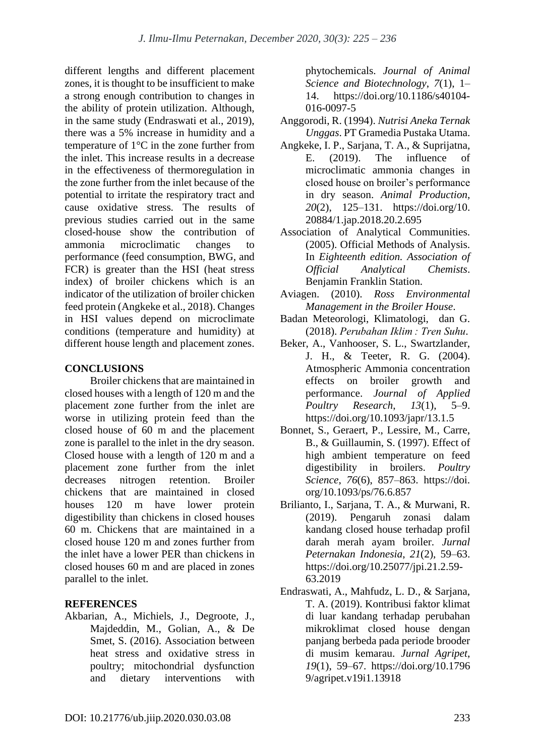different lengths and different placement zones, it is thought to be insufficient to make a strong enough contribution to changes in the ability of protein utilization. Although, in the same study (Endraswati et al., 2019), there was a 5% increase in humidity and a temperature of 1°C in the zone further from the inlet. This increase results in a decrease in the effectiveness of thermoregulation in the zone further from the inlet because of the potential to irritate the respiratory tract and cause oxidative stress. The results of previous studies carried out in the same closed-house show the contribution of ammonia microclimatic changes to performance (feed consumption, BWG, and FCR) is greater than the HSI (heat stress index) of broiler chickens which is an indicator of the utilization of broiler chicken feed protein (Angkeke et al., 2018). Changes in HSI values depend on microclimate conditions (temperature and humidity) at different house length and placement zones.

## **CONCLUSIONS**

Broiler chickens that are maintained in closed houses with a length of 120 m and the placement zone further from the inlet are worse in utilizing protein feed than the closed house of 60 m and the placement zone is parallel to the inlet in the dry season. Closed house with a length of 120 m and a placement zone further from the inlet decreases nitrogen retention. Broiler chickens that are maintained in closed houses 120 m have lower protein digestibility than chickens in closed houses 60 m. Chickens that are maintained in a closed house 120 m and zones further from the inlet have a lower PER than chickens in closed houses 60 m and are placed in zones parallel to the inlet.

## **REFERENCES**

Akbarian, A., Michiels, J., Degroote, J., Majdeddin, M., Golian, A., & De Smet, S. (2016). Association between heat stress and oxidative stress in poultry; mitochondrial dysfunction and dietary interventions with

phytochemicals. *Journal of Animal Science and Biotechnology*, *7*(1), 1– 14. https://doi.org/10.1186/s40104- 016-0097-5

- Anggorodi, R. (1994). *Nutrisi Aneka Ternak Unggas*. PT Gramedia Pustaka Utama.
- Angkeke, I. P., Sarjana, T. A., & Suprijatna, E. (2019). The influence of microclimatic ammonia changes in closed house on broiler's performance in dry season. *Animal Production*, *20*(2), 125–131. https://doi.org/10. 20884/1.jap.2018.20.2.695
- Association of Analytical Communities. (2005). Official Methods of Analysis. In *Eighteenth edition. Association of Official Analytical Chemists*. Benjamin Franklin Station.
- Aviagen. (2010). *Ross Environmental Management in the Broiler House*.
- Badan Meteorologi, Klimatologi, dan G. (2018). *Perubahan Iklim : Tren Suhu*.
- Beker, A., Vanhooser, S. L., Swartzlander, J. H., & Teeter, R. G. (2004). Atmospheric Ammonia concentration effects on broiler growth and performance. *Journal of Applied Poultry Research*, *13*(1), 5–9. https://doi.org/10.1093/japr/13.1.5
- Bonnet, S., Geraert, P., Lessire, M., Carre, B., & Guillaumin, S. (1997). Effect of high ambient temperature on feed digestibility in broilers. *Poultry Science*, *76*(6), 857–863. https://doi. org/10.1093/ps/76.6.857
- Brilianto, I., Sarjana, T. A., & Murwani, R. (2019). Pengaruh zonasi dalam kandang closed house terhadap profil darah merah ayam broiler. *Jurnal Peternakan Indonesia*, *21*(2), 59–63. https://doi.org/10.25077/jpi.21.2.59- 63.2019
- Endraswati, A., Mahfudz, L. D., & Sarjana, T. A. (2019). Kontribusi faktor klimat di luar kandang terhadap perubahan mikroklimat closed house dengan panjang berbeda pada periode brooder di musim kemarau. *Jurnal Agripet*, *19*(1), 59–67. https://doi.org/10.1796 9/agripet.v19i1.13918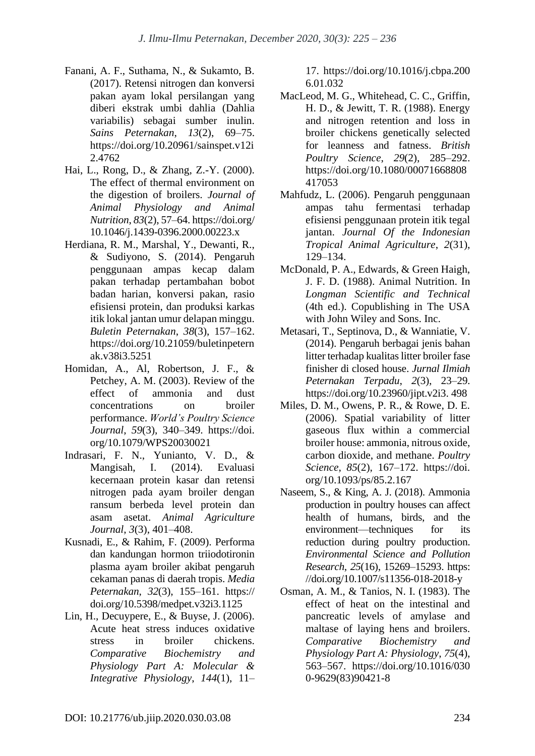- Fanani, A. F., Suthama, N., & Sukamto, B. (2017). Retensi nitrogen dan konversi pakan ayam lokal persilangan yang diberi ekstrak umbi dahlia (Dahlia variabilis) sebagai sumber inulin. *Sains Peternakan*, *13*(2), 69–75. https://doi.org/10.20961/sainspet.v12i 2.4762
- Hai, L., Rong, D., & Zhang, Z.-Y. (2000). The effect of thermal environment on the digestion of broilers. *Journal of Animal Physiology and Animal Nutrition*, *83*(2), 57–64. https://doi.org/ 10.1046/j.1439-0396.2000.00223.x
- Herdiana, R. M., Marshal, Y., Dewanti, R., & Sudiyono, S. (2014). Pengaruh penggunaan ampas kecap dalam pakan terhadap pertambahan bobot badan harian, konversi pakan, rasio efisiensi protein, dan produksi karkas itik lokal jantan umur delapan minggu. *Buletin Peternakan*, *38*(3), 157–162. https://doi.org/10.21059/buletinpetern ak.v38i3.5251
- Homidan, A., Al, Robertson, J. F., & Petchey, A. M. (2003). Review of the effect of ammonia and dust concentrations on broiler performance. *World's Poultry Science Journal*, *59*(3), 340–349. https://doi. org/10.1079/WPS20030021
- Indrasari, F. N., Yunianto, V. D., & Mangisah, I. (2014). Evaluasi kecernaan protein kasar dan retensi nitrogen pada ayam broiler dengan ransum berbeda level protein dan asam asetat. *Animal Agriculture Journal*, *3*(3), 401–408.
- Kusnadi, E., & Rahim, F. (2009). Performa dan kandungan hormon triiodotironin plasma ayam broiler akibat pengaruh cekaman panas di daerah tropis. *Media Peternakan*, *32*(3), 155–161. https:// doi.org/10.5398/medpet.v32i3.1125
- Lin, H., Decuypere, E., & Buyse, J. (2006). Acute heat stress induces oxidative stress in broiler chickens. *Comparative Biochemistry and Physiology Part A: Molecular & Integrative Physiology*, *144*(1), 11–

17. https://doi.org/10.1016/j.cbpa.200 6.01.032

- MacLeod, M. G., Whitehead, C. C., Griffin, H. D., & Jewitt, T. R. (1988). Energy and nitrogen retention and loss in broiler chickens genetically selected for leanness and fatness. *British Poultry Science*, *29*(2), 285–292. https://doi.org/10.1080/00071668808 417053
- Mahfudz, L. (2006). Pengaruh penggunaan ampas tahu fermentasi terhadap efisiensi penggunaan protein itik tegal jantan. *Journal Of the Indonesian Tropical Animal Agriculture*, *2*(31), 129–134.
- McDonald, P. A., Edwards, & Green Haigh, J. F. D. (1988). Animal Nutrition. In *Longman Scientific and Technical* (4th ed.). Copublishing in The USA with John Wiley and Sons. Inc.
- Metasari, T., Septinova, D., & Wanniatie, V. (2014). Pengaruh berbagai jenis bahan litter terhadap kualitas litter broiler fase finisher di closed house. *Jurnal Ilmiah Peternakan Terpadu*, *2*(3), 23–29. https://doi.org/10.23960/jipt.v2i3. 498
- Miles, D. M., Owens, P. R., & Rowe, D. E. (2006). Spatial variability of litter gaseous flux within a commercial broiler house: ammonia, nitrous oxide, carbon dioxide, and methane. *Poultry Science*, *85*(2), 167–172. https://doi. org/10.1093/ps/85.2.167
- Naseem, S., & King, A. J. (2018). Ammonia production in poultry houses can affect health of humans, birds, and the environment—techniques for its reduction during poultry production. *Environmental Science and Pollution Research*, *25*(16), 15269–15293. https: //doi.org/10.1007/s11356-018-2018-y
- Osman, A. M., & Tanios, N. I. (1983). The effect of heat on the intestinal and pancreatic levels of amylase and maltase of laying hens and broilers. *Comparative Biochemistry and Physiology Part A: Physiology*, *75*(4), 563–567. https://doi.org/10.1016/030 0-9629(83)90421-8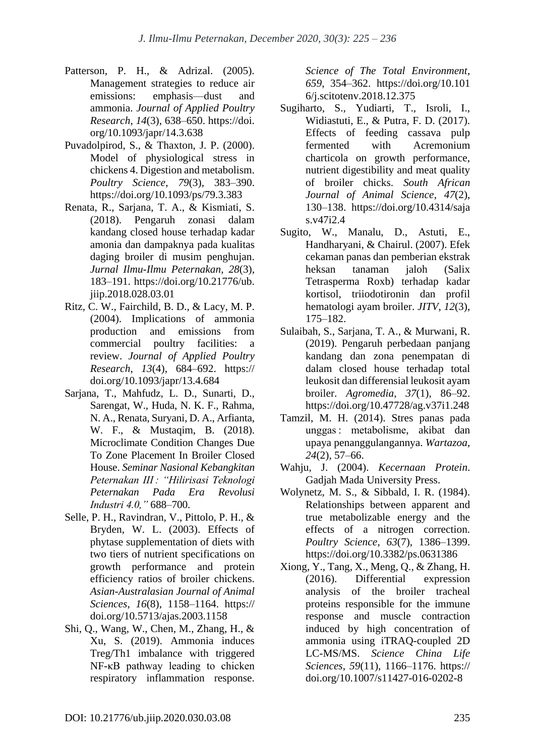- Patterson, P. H., & Adrizal. (2005). Management strategies to reduce air emissions: emphasis—dust and ammonia. *Journal of Applied Poultry Research*, *14*(3), 638–650. https://doi. org/10.1093/japr/14.3.638
- Puvadolpirod, S., & Thaxton, J. P. (2000). Model of physiological stress in chickens 4. Digestion and metabolism. *Poultry Science*, *79*(3), 383–390. https://doi.org/10.1093/ps/79.3.383
- Renata, R., Sarjana, T. A., & Kismiati, S. (2018). Pengaruh zonasi dalam kandang closed house terhadap kadar amonia dan dampaknya pada kualitas daging broiler di musim penghujan. *Jurnal Ilmu-Ilmu Peternakan*, *28*(3), 183–191. https://doi.org/10.21776/ub. jiip.2018.028.03.01
- Ritz, C. W., Fairchild, B. D., & Lacy, M. P. (2004). Implications of ammonia production and emissions from commercial poultry facilities: a review. *Journal of Applied Poultry Research*, *13*(4), 684–692. https:// doi.org/10.1093/japr/13.4.684
- Sarjana, T., Mahfudz, L. D., Sunarti, D., Sarengat, W., Huda, N. K. F., Rahma, N. A., Renata, Suryani, D. A., Arfianta, W. F., & Mustaqim, B. (2018). Microclimate Condition Changes Due To Zone Placement In Broiler Closed House. *Seminar Nasional Kebangkitan Peternakan III : "Hilirisasi Teknologi Peternakan Pada Era Revolusi Industri 4.0,"* 688–700.
- Selle, P. H., Ravindran, V., Pittolo, P. H., & Bryden, W. L. (2003). Effects of phytase supplementation of diets with two tiers of nutrient specifications on growth performance and protein efficiency ratios of broiler chickens. *Asian-Australasian Journal of Animal Sciences*, *16*(8), 1158–1164. https:// doi.org/10.5713/ajas.2003.1158
- Shi, Q., Wang, W., Chen, M., Zhang, H., & Xu, S. (2019). Ammonia induces Treg/Th1 imbalance with triggered NF-κB pathway leading to chicken respiratory inflammation response.

*Science of The Total Environment*, *659*, 354–362. https://doi.org/10.101 6/j.scitotenv.2018.12.375

- Sugiharto, S., Yudiarti, T., Isroli, I., Widiastuti, E., & Putra, F. D. (2017). Effects of feeding cassava pulp fermented with Acremonium charticola on growth performance, nutrient digestibility and meat quality of broiler chicks. *South African Journal of Animal Science*, *47*(2), 130–138. https://doi.org/10.4314/saja s.v47i2.4
- Sugito, W., Manalu, D., Astuti, E., Handharyani, & Chairul. (2007). Efek cekaman panas dan pemberian ekstrak heksan tanaman jaloh (Salix Tetrasperma Roxb) terhadap kadar kortisol, triiodotironin dan profil hematologi ayam broiler. *JITV*, *12*(3), 175–182.
- Sulaibah, S., Sarjana, T. A., & Murwani, R. (2019). Pengaruh perbedaan panjang kandang dan zona penempatan di dalam closed house terhadap total leukosit dan differensial leukosit ayam broiler. *Agromedia*, *37*(1), 86–92. https://doi.org/10.47728/ag.v37i1.248
- Tamzil, M. H. (2014). Stres panas pada unggas : metabolisme, akibat dan upaya penanggulangannya. *Wartazoa*, *24*(2), 57–66.
- Wahju, J. (2004). *Kecernaan Protein*. Gadjah Mada University Press.
- Wolynetz, M. S., & Sibbald, I. R. (1984). Relationships between apparent and true metabolizable energy and the effects of a nitrogen correction. *Poultry Science*, *63*(7), 1386–1399. https://doi.org/10.3382/ps.0631386
- Xiong, Y., Tang, X., Meng, Q., & Zhang, H. (2016). Differential expression analysis of the broiler tracheal proteins responsible for the immune response and muscle contraction induced by high concentration of ammonia using iTRAQ-coupled 2D LC-MS/MS. *Science China Life Sciences*, *59*(11), 1166–1176. https:// doi.org/10.1007/s11427-016-0202-8